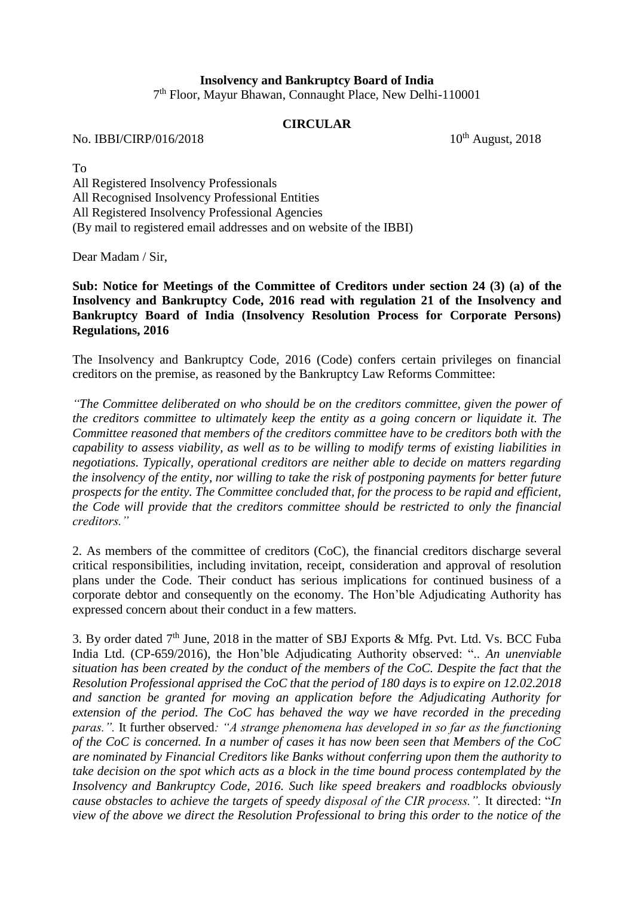## **Insolvency and Bankruptcy Board of India**

7 th Floor, Mayur Bhawan, Connaught Place, New Delhi-110001

## **CIRCULAR**

No. IBBI/CIRP/016/2018  $10^{th}$  August, 2018

To

All Registered Insolvency Professionals All Recognised Insolvency Professional Entities All Registered Insolvency Professional Agencies (By mail to registered email addresses and on website of the IBBI)

Dear Madam / Sir,

**Sub: Notice for Meetings of the Committee of Creditors under section 24 (3) (a) of the Insolvency and Bankruptcy Code, 2016 read with regulation 21 of the Insolvency and Bankruptcy Board of India (Insolvency Resolution Process for Corporate Persons) Regulations, 2016**

The Insolvency and Bankruptcy Code, 2016 (Code) confers certain privileges on financial creditors on the premise, as reasoned by the Bankruptcy Law Reforms Committee:

*"The Committee deliberated on who should be on the creditors committee, given the power of the creditors committee to ultimately keep the entity as a going concern or liquidate it. The Committee reasoned that members of the creditors committee have to be creditors both with the capability to assess viability, as well as to be willing to modify terms of existing liabilities in negotiations. Typically, operational creditors are neither able to decide on matters regarding the insolvency of the entity, nor willing to take the risk of postponing payments for better future prospects for the entity. The Committee concluded that, for the process to be rapid and efficient, the Code will provide that the creditors committee should be restricted to only the financial creditors."*

2. As members of the committee of creditors (CoC), the financial creditors discharge several critical responsibilities, including invitation, receipt, consideration and approval of resolution plans under the Code. Their conduct has serious implications for continued business of a corporate debtor and consequently on the economy. The Hon'ble Adjudicating Authority has expressed concern about their conduct in a few matters.

3. By order dated  $7<sup>th</sup>$  June, 2018 in the matter of SBJ Exports & Mfg. Pvt. Ltd. Vs. BCC Fuba India Ltd. (CP-659/2016), the Hon'ble Adjudicating Authority observed: ".. *An unenviable situation has been created by the conduct of the members of the CoC. Despite the fact that the Resolution Professional apprised the CoC that the period of 180 days is to expire on 12.02.2018 and sanction be granted for moving an application before the Adjudicating Authority for extension of the period. The CoC has behaved the way we have recorded in the preceding paras.".* It further observed*: "A strange phenomena has developed in so far as the functioning of the CoC is concerned. In a number of cases it has now been seen that Members of the CoC are nominated by Financial Creditors like Banks without conferring upon them the authority to take decision on the spot which acts as a block in the time bound process contemplated by the Insolvency and Bankruptcy Code, 2016. Such like speed breakers and roadblocks obviously cause obstacles to achieve the targets of speedy disposal of the CIR process.".* It directed: "*In view of the above we direct the Resolution Professional to bring this order to the notice of the*